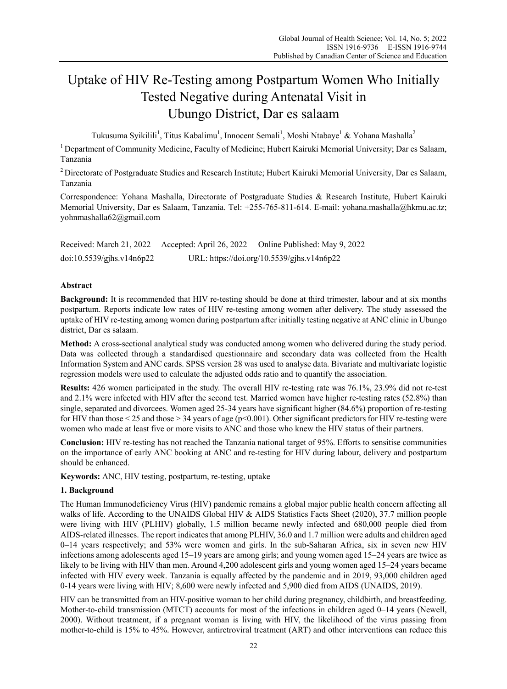# Uptake of HIV Re-Testing among Postpartum Women Who Initially Tested Negative during Antenatal Visit in Ubungo District, Dar es salaam

Tukusuma Syikilili<sup>1</sup>, Titus Kabalimu<sup>1</sup>, Innocent Semali<sup>1</sup>, Moshi Ntabaye<sup>1</sup> & Yohana Mashalla<sup>2</sup>

<sup>1</sup> Department of Community Medicine, Faculty of Medicine; Hubert Kairuki Memorial University; Dar es Salaam, Tanzania

<sup>2</sup> Directorate of Postgraduate Studies and Research Institute; Hubert Kairuki Memorial University, Dar es Salaam, Tanzania

Correspondence: Yohana Mashalla, Directorate of Postgraduate Studies & Research Institute, Hubert Kairuki Memorial University, Dar es Salaam, Tanzania. Tel: +255-765-811-614. E-mail: yohana.mashalla@hkmu.ac.tz; yohnmashalla62@gmail.com

Received: March 21, 2022 Accepted: April 26, 2022 Online Published: May 9, 2022 doi:10.5539/gjhs.v14n6p22 URL: https://doi.org/10.5539/gjhs.v14n6p22

# **Abstract**

**Background:** It is recommended that HIV re-testing should be done at third trimester, labour and at six months postpartum. Reports indicate low rates of HIV re-testing among women after delivery. The study assessed the uptake of HIV re-testing among women during postpartum after initially testing negative at ANC clinic in Ubungo district, Dar es salaam.

**Method:** A cross-sectional analytical study was conducted among women who delivered during the study period. Data was collected through a standardised questionnaire and secondary data was collected from the Health Information System and ANC cards. SPSS version 28 was used to analyse data. Bivariate and multivariate logistic regression models were used to calculate the adjusted odds ratio and to quantify the association.

**Results:** 426 women participated in the study. The overall HIV re-testing rate was 76.1%, 23.9% did not re-test and 2.1% were infected with HIV after the second test. Married women have higher re-testing rates (52.8%) than single, separated and divorcees. Women aged 25-34 years have significant higher (84.6%) proportion of re-testing for HIV than those  $\leq$  25 and those  $\geq$  34 years of age (p $\leq$ 0.001). Other significant predictors for HIV re-testing were women who made at least five or more visits to ANC and those who knew the HIV status of their partners.

**Conclusion:** HIV re-testing has not reached the Tanzania national target of 95%. Efforts to sensitise communities on the importance of early ANC booking at ANC and re-testing for HIV during labour, delivery and postpartum should be enhanced.

**Keywords:** ANC, HIV testing, postpartum, re-testing, uptake

# **1. Background**

The Human Immunodeficiency Virus (HIV) pandemic remains a global major public health concern affecting all walks of life. According to the UNAIDS Global HIV & AIDS Statistics Facts Sheet (2020), 37.7 million people were living with HIV (PLHIV) globally, 1.5 million became newly infected and 680,000 people died from AIDS-related illnesses. The report indicates that among PLHIV, 36.0 and 1.7 million were adults and children aged 0–14 years respectively; and 53% were women and girls. In the sub-Saharan Africa, six in seven new HIV infections among adolescents aged 15–19 years are among girls; and young women aged 15–24 years are twice as likely to be living with HIV than men. Around 4,200 adolescent girls and young women aged 15–24 years became infected with HIV every week. Tanzania is equally affected by the pandemic and in 2019, 93,000 children aged 0-14 years were living with HIV; 8,600 were newly infected and 5,900 died from AIDS (UNAIDS, 2019).

HIV can be transmitted from an HIV-positive woman to her child during pregnancy, childbirth, and breastfeeding. Mother-to-child transmission (MTCT) accounts for most of the infections in children aged 0–14 years (Newell, 2000). Without treatment, if a pregnant woman is living with HIV, the likelihood of the virus passing from mother-to-child is 15% to 45%. However, antiretroviral treatment (ART) and other interventions can reduce this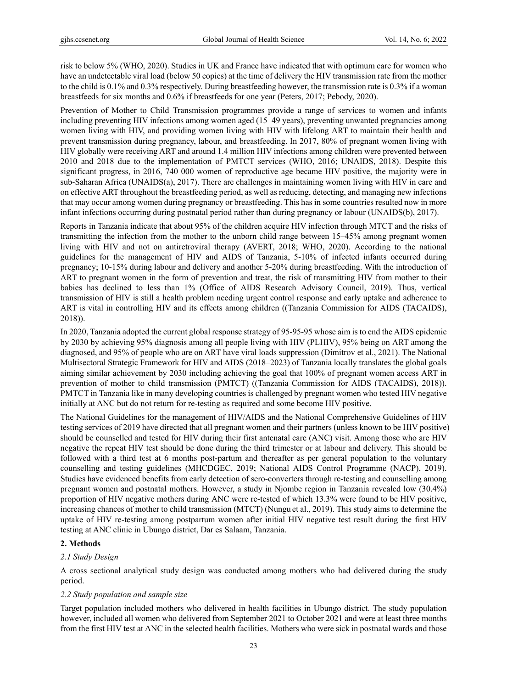risk to below 5% (WHO, 2020). Studies in UK and France have indicated that with optimum care for women who have an undetectable viral load (below 50 copies) at the time of delivery the HIV transmission rate from the mother to the child is 0.1% and 0.3% respectively. During breastfeeding however, the transmission rate is 0.3% if a woman breastfeeds for six months and 0.6% if breastfeeds for one year (Peters, 2017; Pebody, 2020).

Prevention of Mother to Child Transmission programmes provide a range of services to women and infants including preventing HIV infections among women aged (15–49 years), preventing unwanted pregnancies among women living with HIV, and providing women living with HIV with lifelong ART to maintain their health and prevent transmission during pregnancy, labour, and breastfeeding. In 2017, 80% of pregnant women living with HIV globally were receiving ART and around 1.4 million HIV infections among children were prevented between 2010 and 2018 due to the implementation of PMTCT services (WHO, 2016; UNAIDS, 2018). Despite this significant progress, in 2016, 740 000 women of reproductive age became HIV positive, the majority were in sub-Saharan Africa (UNAIDS(a), 2017). There are challenges in maintaining women living with HIV in care and on effective ART throughout the breastfeeding period, as well as reducing, detecting, and managing new infections that may occur among women during pregnancy or breastfeeding. This has in some countries resulted now in more infant infections occurring during postnatal period rather than during pregnancy or labour (UNAIDS(b), 2017).

Reports in Tanzania indicate that about 95% of the children acquire HIV infection through MTCT and the risks of transmitting the infection from the mother to the unborn child range between 15–45% among pregnant women living with HIV and not on antiretroviral therapy (AVERT, 2018; WHO, 2020). According to the national guidelines for the management of HIV and AIDS of Tanzania, 5-10% of infected infants occurred during pregnancy; 10-15% during labour and delivery and another 5-20% during breastfeeding. With the introduction of ART to pregnant women in the form of prevention and treat, the risk of transmitting HIV from mother to their babies has declined to less than 1% (Office of AIDS Research Advisory Council, 2019). Thus, vertical transmission of HIV is still a health problem needing urgent control response and early uptake and adherence to ART is vital in controlling HIV and its effects among children ((Tanzania Commission for AIDS (TACAIDS), 2018)).

In 2020, Tanzania adopted the current global response strategy of 95-95-95 whose aim is to end the AIDS epidemic by 2030 by achieving 95% diagnosis among all people living with HIV (PLHIV), 95% being on ART among the diagnosed, and 95% of people who are on ART have viral loads suppression (Dimitrov et al., 2021). The National Multisectoral Strategic Framework for HIV and AIDS (2018–2023) of Tanzania locally translates the global goals aiming similar achievement by 2030 including achieving the goal that 100% of pregnant women access ART in prevention of mother to child transmission (PMTCT) ((Tanzania Commission for AIDS (TACAIDS), 2018)). PMTCT in Tanzania like in many developing countries is challenged by pregnant women who tested HIV negative initially at ANC but do not return for re-testing as required and some become HIV positive.

The National Guidelines for the management of HIV/AIDS and the National Comprehensive Guidelines of HIV testing services of 2019 have directed that all pregnant women and their partners (unless known to be HIV positive) should be counselled and tested for HIV during their first antenatal care (ANC) visit. Among those who are HIV negative the repeat HIV test should be done during the third trimester or at labour and delivery. This should be followed with a third test at 6 months post-partum and thereafter as per general population to the voluntary counselling and testing guidelines (MHCDGEC, 2019; National AIDS Control Programme (NACP), 2019). Studies have evidenced benefits from early detection of sero-converters through re-testing and counselling among pregnant women and postnatal mothers. However, a study in Njombe region in Tanzania revealed low (30.4%) proportion of HIV negative mothers during ANC were re-tested of which 13.3% were found to be HIV positive, increasing chances of mother to child transmission (MTCT) (Nungu et al., 2019). This study aims to determine the uptake of HIV re-testing among postpartum women after initial HIV negative test result during the first HIV testing at ANC clinic in Ubungo district, Dar es Salaam, Tanzania.

# **2. Methods**

# *2.1 Study Design*

A cross sectional analytical study design was conducted among mothers who had delivered during the study period.

# *2.2 Study population and sample size*

Target population included mothers who delivered in health facilities in Ubungo district. The study population however, included all women who delivered from September 2021 to October 2021 and were at least three months from the first HIV test at ANC in the selected health facilities. Mothers who were sick in postnatal wards and those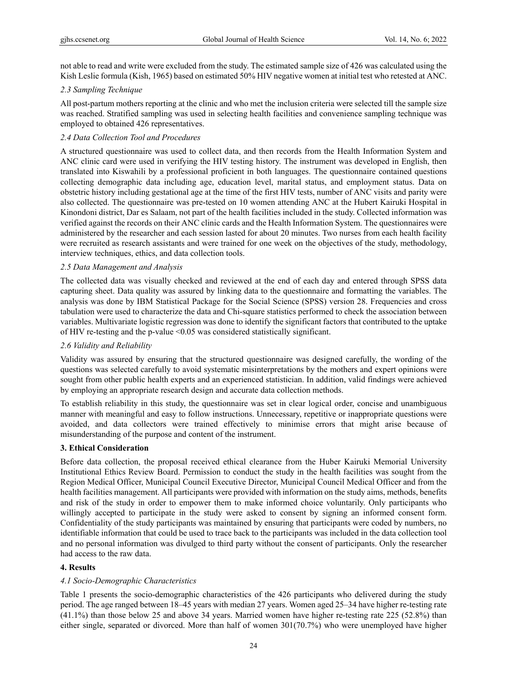not able to read and write were excluded from the study. The estimated sample size of 426 was calculated using the Kish Leslie formula (Kish, 1965) based on estimated 50% HIV negative women at initial test who retested at ANC.

#### *2.3 Sampling Technique*

All post-partum mothers reporting at the clinic and who met the inclusion criteria were selected till the sample size was reached. Stratified sampling was used in selecting health facilities and convenience sampling technique was employed to obtained 426 representatives.

## *2.4 Data Collection Tool and Procedures*

A structured questionnaire was used to collect data, and then records from the Health Information System and ANC clinic card were used in verifying the HIV testing history. The instrument was developed in English, then translated into Kiswahili by a professional proficient in both languages. The questionnaire contained questions collecting demographic data including age, education level, marital status, and employment status. Data on obstetric history including gestational age at the time of the first HIV tests, number of ANC visits and parity were also collected. The questionnaire was pre-tested on 10 women attending ANC at the Hubert Kairuki Hospital in Kinondoni district, Dar es Salaam, not part of the health facilities included in the study. Collected information was verified against the records on their ANC clinic cards and the Health Information System. The questionnaires were administered by the researcher and each session lasted for about 20 minutes. Two nurses from each health facility were recruited as research assistants and were trained for one week on the objectives of the study, methodology, interview techniques, ethics, and data collection tools.

#### *2.5 Data Management and Analysis*

The collected data was visually checked and reviewed at the end of each day and entered through SPSS data capturing sheet. Data quality was assured by linking data to the questionnaire and formatting the variables. The analysis was done by IBM Statistical Package for the Social Science (SPSS) version 28. Frequencies and cross tabulation were used to characterize the data and Chi-square statistics performed to check the association between variables. Multivariate logistic regression was done to identify the significant factors that contributed to the uptake of HIV re-testing and the p-value <0.05 was considered statistically significant.

## *2.6 Validity and Reliability*

Validity was assured by ensuring that the structured questionnaire was designed carefully, the wording of the questions was selected carefully to avoid systematic misinterpretations by the mothers and expert opinions were sought from other public health experts and an experienced statistician. In addition, valid findings were achieved by employing an appropriate research design and accurate data collection methods.

To establish reliability in this study, the questionnaire was set in clear logical order, concise and unambiguous manner with meaningful and easy to follow instructions. Unnecessary, repetitive or inappropriate questions were avoided, and data collectors were trained effectively to minimise errors that might arise because of misunderstanding of the purpose and content of the instrument.

#### **3. Ethical Consideration**

Before data collection, the proposal received ethical clearance from the Huber Kairuki Memorial University Institutional Ethics Review Board. Permission to conduct the study in the health facilities was sought from the Region Medical Officer, Municipal Council Executive Director, Municipal Council Medical Officer and from the health facilities management. All participants were provided with information on the study aims, methods, benefits and risk of the study in order to empower them to make informed choice voluntarily. Only participants who willingly accepted to participate in the study were asked to consent by signing an informed consent form. Confidentiality of the study participants was maintained by ensuring that participants were coded by numbers, no identifiable information that could be used to trace back to the participants was included in the data collection tool and no personal information was divulged to third party without the consent of participants. Only the researcher had access to the raw data.

#### **4. Results**

#### *4.1 Socio-Demographic Characteristics*

Table 1 presents the socio-demographic characteristics of the 426 participants who delivered during the study period. The age ranged between 18–45 years with median 27 years. Women aged 25–34 have higher re-testing rate (41.1%) than those below 25 and above 34 years. Married women have higher re-testing rate 225 (52.8%) than either single, separated or divorced. More than half of women 301(70.7%) who were unemployed have higher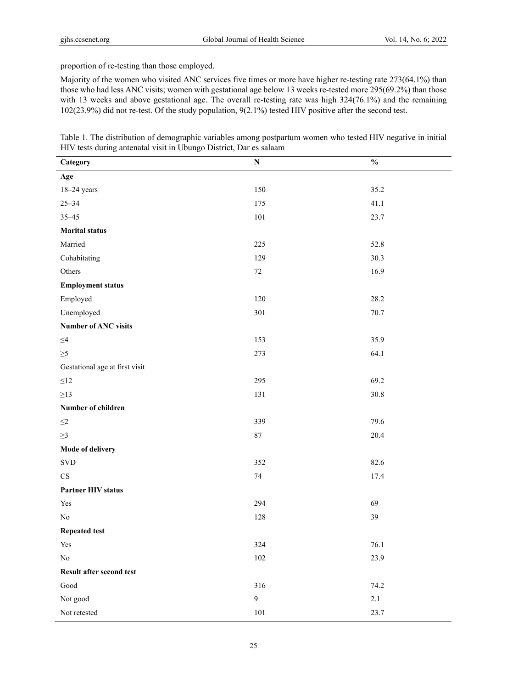proportion of re-testing than those employed.

Majority of the women who visited ANC services five times or more have higher re-testing rate 273(64.1%) than those who had less ANC visits; women with gestational age below 13 weeks re-tested more 295(69.2%) than those with 13 weeks and above gestational age. The overall re-testing rate was high 324(76.1%) and the remaining 102(23.9%) did not re-test. Of the study population, 9(2.1%) tested HIV positive after the second test.

| Table 1. The distribution of demographic variables among postpartum women who tested HIV negative in initial |  |
|--------------------------------------------------------------------------------------------------------------|--|
| HIV tests during antenatal visit in Ubungo District, Dar es salaam                                           |  |

| Category                       | ${\bf N}$ | $\frac{0}{0}$ |
|--------------------------------|-----------|---------------|
| Age                            |           |               |
| $18 - 24$ years                | 150       | 35.2          |
| $25 - 34$                      | 175       | 41.1          |
| $35 - 45$                      | 101       | 23.7          |
| <b>Marital status</b>          |           |               |
| Married                        | 225       | 52.8          |
| Cohabitating                   | 129       | 30.3          |
| Others                         | $72\,$    | 16.9          |
| <b>Employment status</b>       |           |               |
| Employed                       | 120       | 28.2          |
| Unemployed                     | 301       | 70.7          |
| Number of ANC visits           |           |               |
| $\leq\!\!4$                    | 153       | 35.9          |
| $\geq 5$                       | 273       | 64.1          |
| Gestational age at first visit |           |               |
| $\leq12$                       | 295       | 69.2          |
| $\geq$ 13                      | 131       | 30.8          |
| Number of children             |           |               |
| $\leq\!\!2$                    | 339       | 79.6          |
| $\geq$ 3                       | $87\,$    | 20.4          |
| Mode of delivery               |           |               |
| $\ensuremath{\mathrm{SVD}}$    | 352       | 82.6          |
| $\mathbf{C}\mathbf{S}$         | $74\,$    | 17.4          |
| <b>Partner HIV status</b>      |           |               |
| Yes                            | 294       | 69            |
| $\rm No$                       | 128       | 39            |
| <b>Repeated test</b>           |           |               |
| Yes                            | 324       | 76.1          |
| $\rm No$                       | $102\,$   | 23.9          |
| Result after second test       |           |               |
| $\operatorname{Good}$          | 316       | 74.2          |
| Not good                       | 9         | 2.1           |
| Not retested                   | $101\,$   | 23.7          |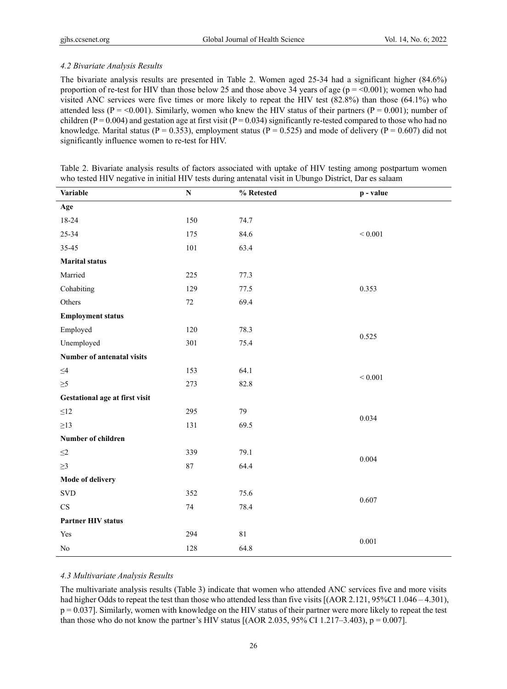# *4.2 Bivariate Analysis Results*

The bivariate analysis results are presented in Table 2. Women aged 25-34 had a significant higher (84.6%) proportion of re-test for HIV than those below 25 and those above 34 years of age ( $p = <0.001$ ); women who had visited ANC services were five times or more likely to repeat the HIV test (82.8%) than those (64.1%) who attended less ( $P = 0.001$ ). Similarly, women who knew the HIV status of their partners ( $P = 0.001$ ); number of children ( $P = 0.004$ ) and gestation age at first visit ( $P = 0.034$ ) significantly re-tested compared to those who had no knowledge. Marital status (P = 0.353), employment status (P = 0.525) and mode of delivery (P = 0.607) did not significantly influence women to re-test for HIV.

| Table 2. Bivariate analysis results of factors associated with uptake of HIV testing among postpartum women |  |  |
|-------------------------------------------------------------------------------------------------------------|--|--|
| who tested HIV negative in initial HIV tests during antenatal visit in Ubungo District, Dar es salaam       |  |  |

| <b>Variable</b>                | ${\bf N}$ | % Retested | p - value   |  |
|--------------------------------|-----------|------------|-------------|--|
| Age                            |           |            |             |  |
| 18-24                          | 150       | 74.7       |             |  |
| $25 - 34$                      | 175       | 84.6       | ${}< 0.001$ |  |
| 35-45                          | 101       | 63.4       |             |  |
| <b>Marital status</b>          |           |            |             |  |
| Married                        | 225       | 77.3       |             |  |
| Cohabiting                     | 129       | 77.5       | 0.353       |  |
| Others                         | 72        | 69.4       |             |  |
| <b>Employment status</b>       |           |            |             |  |
| Employed                       | 120       | 78.3       | 0.525       |  |
| Unemployed                     | 301       | 75.4       |             |  |
| Number of antenatal visits     |           |            |             |  |
| $\leq4$                        | 153       | 64.1       | ${}< 0.001$ |  |
| $\geq 5$                       | 273       | 82.8       |             |  |
| Gestational age at first visit |           |            |             |  |
| $\leq 12$                      | 295       | 79         | 0.034       |  |
| $\geq$ 13                      | 131       | 69.5       |             |  |
| Number of children             |           |            |             |  |
| $\leq2$                        | 339       | 79.1       | 0.004       |  |
| $\geq$ 3                       | 87        | 64.4       |             |  |
| <b>Mode of delivery</b>        |           |            |             |  |
| $\ensuremath{\mathrm{SVD}}$    | 352       | 75.6       | 0.607       |  |
| $\rm CS$                       | $74\,$    | 78.4       |             |  |
| <b>Partner HIV status</b>      |           |            |             |  |
| Yes                            | 294       | 81         | 0.001       |  |
| $\rm No$                       | 128       | 64.8       |             |  |

# *4.3 Multivariate Analysis Results*

The multivariate analysis results (Table 3) indicate that women who attended ANC services five and more visits had higher Odds to repeat the test than those who attended less than five visits [(AOR 2.121, 95%CI 1.046 – 4.301), p = 0.037]. Similarly, women with knowledge on the HIV status of their partner were more likely to repeat the test than those who do not know the partner's HIV status [(AOR 2.035, 95% CI 1.217–3.403),  $p = 0.007$ ].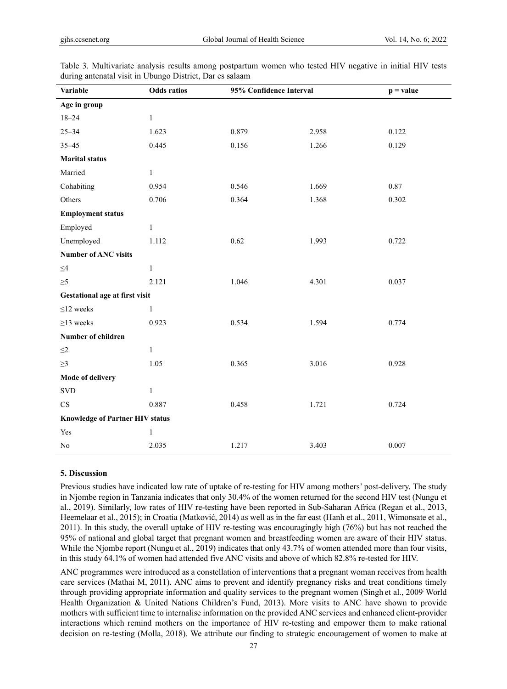| Variable                               | <b>Odds</b> ratios | 95% Confidence Interval |       | $p = value$ |
|----------------------------------------|--------------------|-------------------------|-------|-------------|
| Age in group                           |                    |                         |       |             |
| $18 - 24$                              | $\mathbf{1}$       |                         |       |             |
| $25 - 34$                              | 1.623              | 0.879                   | 2.958 | 0.122       |
| $35 - 45$                              | 0.445              | 0.156                   | 1.266 | 0.129       |
| <b>Marital status</b>                  |                    |                         |       |             |
| Married                                | $\mathbf{1}$       |                         |       |             |
| Cohabiting                             | 0.954              | 0.546                   | 1.669 | 0.87        |
| Others                                 | 0.706              | 0.364                   | 1.368 | 0.302       |
| <b>Employment status</b>               |                    |                         |       |             |
| Employed                               | $\mathbf{1}$       |                         |       |             |
| Unemployed                             | 1.112              | 0.62                    | 1.993 | 0.722       |
| <b>Number of ANC visits</b>            |                    |                         |       |             |
| $\leq\!\!4$                            | $\mathbf{1}$       |                         |       |             |
| $\geq 5$                               | 2.121              | 1.046                   | 4.301 | 0.037       |
| Gestational age at first visit         |                    |                         |       |             |
| $\leq$ 12 weeks                        | $\mathbf{1}$       |                         |       |             |
| $\geq$ 13 weeks                        | 0.923              | 0.534                   | 1.594 | 0.774       |
| Number of children                     |                    |                         |       |             |
| $\leq2$                                | $\mathbf{1}$       |                         |       |             |
| $\geq$ 3                               | 1.05               | 0.365                   | 3.016 | 0.928       |
| <b>Mode of delivery</b>                |                    |                         |       |             |
| <b>SVD</b>                             | $\mathbf{1}$       |                         |       |             |
| CS                                     | 0.887              | 0.458                   | 1.721 | 0.724       |
| <b>Knowledge of Partner HIV status</b> |                    |                         |       |             |
| Yes                                    | $\mathbf{1}$       |                         |       |             |
| No                                     | 2.035              | 1.217                   | 3.403 | 0.007       |

Table 3. Multivariate analysis results among postpartum women who tested HIV negative in initial HIV tests during antenatal visit in Ubungo District, Dar es salaam

#### **5. Discussion**

Previous studies have indicated low rate of uptake of re-testing for HIV among mothers' post-delivery. The study in Njombe region in Tanzania indicates that only 30.4% of the women returned for the second HIV test (Nungu et al., 2019). Similarly, low rates of HIV re-testing have been reported in Sub-Saharan Africa (Regan et al., 2013, Heemelaar et al., 2015); in Croatia (Matković, 2014) as well as in the far east (Hanh et al., 2011, Wimonsate et al., 2011). In this study, the overall uptake of HIV re-testing was encouragingly high (76%) but has not reached the 95% of national and global target that pregnant women and breastfeeding women are aware of their HIV status. While the Njombe report (Nungu et al., 2019) indicates that only 43.7% of women attended more than four visits, in this study 64.1% of women had attended five ANC visits and above of which 82.8% re-tested for HIV.

ANC programmes were introduced as a constellation of interventions that a pregnant woman receives from health care services (Mathai M, 2011). ANC aims to prevent and identify pregnancy risks and treat conditions timely through providing appropriate information and quality services to the pregnant women (Singh et al., 2009 World Health Organization & United Nations Children's Fund, 2013). More visits to ANC have shown to provide mothers with sufficient time to internalise information on the provided ANC services and enhanced client-provider interactions which remind mothers on the importance of HIV re-testing and empower them to make rational decision on re-testing (Molla, 2018). We attribute our finding to strategic encouragement of women to make at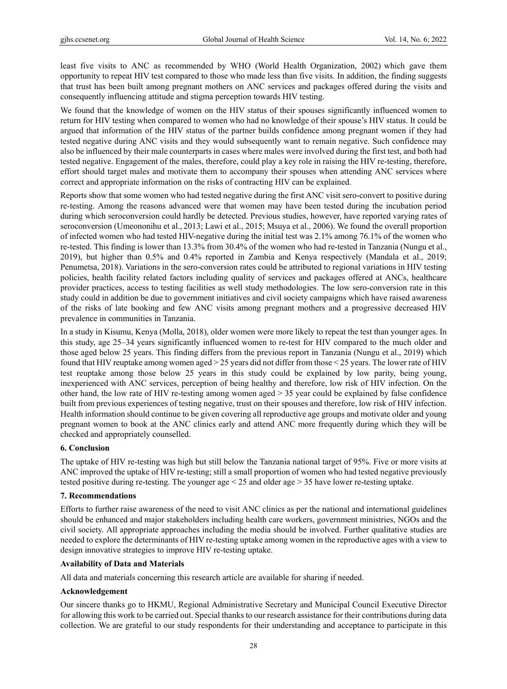least five visits to ANC as recommended by WHO (World Health Organization, 2002) which gave them opportunity to repeat HIV test compared to those who made less than five visits. In addition, the finding suggests that trust has been built among pregnant mothers on ANC services and packages offered during the visits and consequently influencing attitude and stigma perception towards HIV testing.

We found that the knowledge of women on the HIV status of their spouses significantly influenced women to return for HIV testing when compared to women who had no knowledge of their spouse's HIV status. It could be argued that information of the HIV status of the partner builds confidence among pregnant women if they had tested negative during ANC visits and they would subsequently want to remain negative. Such confidence may also be influenced by their male counterparts in cases where males were involved during the first test, and both had tested negative. Engagement of the males, therefore, could play a key role in raising the HIV re-testing, therefore, effort should target males and motivate them to accompany their spouses when attending ANC services where correct and appropriate information on the risks of contracting HIV can be explained.

Reports show that some women who had tested negative during the first ANC visit sero-convert to positive during re-testing. Among the reasons advanced were that women may have been tested during the incubation period during which seroconversion could hardly be detected. Previous studies, however, have reported varying rates of seroconversion (Umeononihu et al., 2013; Lawi et al., 2015; Msuya et al., 2006). We found the overall proportion of infected women who had tested HIV-negative during the initial test was 2.1% among 76.1% of the women who re-tested. This finding is lower than 13.3% from 30.4% of the women who had re-tested in Tanzania (Nungu et al., 2019), but higher than 0.5% and 0.4% reported in Zambia and Kenya respectively (Mandala et al., 2019; Penumetsa, 2018). Variations in the sero-conversion rates could be attributed to regional variations in HIV testing policies, health facility related factors including quality of services and packages offered at ANCs, healthcare provider practices, access to testing facilities as well study methodologies. The low sero-conversion rate in this study could in addition be due to government initiatives and civil society campaigns which have raised awareness of the risks of late booking and few ANC visits among pregnant mothers and a progressive decreased HIV prevalence in communities in Tanzania.

In a study in Kisumu, Kenya (Molla, 2018), older women were more likely to repeat the test than younger ages. In this study, age 25–34 years significantly influenced women to re-test for HIV compared to the much older and those aged below 25 years. This finding differs from the previous report in Tanzania (Nungu et al., 2019) which found that HIV reuptake among women aged > 25 years did not differ from those < 25 years. The lower rate of HIV test reuptake among those below 25 years in this study could be explained by low parity, being young, inexperienced with ANC services, perception of being healthy and therefore, low risk of HIV infection. On the other hand, the low rate of HIV re-testing among women aged > 35 year could be explained by false confidence built from previous experiences of testing negative, trust on their spouses and therefore, low risk of HIV infection. Health information should continue to be given covering all reproductive age groups and motivate older and young pregnant women to book at the ANC clinics early and attend ANC more frequently during which they will be checked and appropriately counselled.

## **6. Conclusion**

The uptake of HIV re-testing was high but still below the Tanzania national target of 95%. Five or more visits at ANC improved the uptake of HIV re-testing; still a small proportion of women who had tested negative previously tested positive during re-testing. The younger age < 25 and older age > 35 have lower re-testing uptake.

#### **7. Recommendations**

Efforts to further raise awareness of the need to visit ANC clinics as per the national and international guidelines should be enhanced and major stakeholders including health care workers, government ministries, NGOs and the civil society. All appropriate approaches including the media should be involved. Further qualitative studies are needed to explore the determinants of HIV re-testing uptake among women in the reproductive ages with a view to design innovative strategies to improve HIV re-testing uptake.

# **Availability of Data and Materials**

All data and materials concerning this research article are available for sharing if needed.

#### **Acknowledgement**

Our sincere thanks go to HKMU, Regional Administrative Secretary and Municipal Council Executive Director for allowing this work to be carried out. Special thanks to our research assistance for their contributions during data collection. We are grateful to our study respondents for their understanding and acceptance to participate in this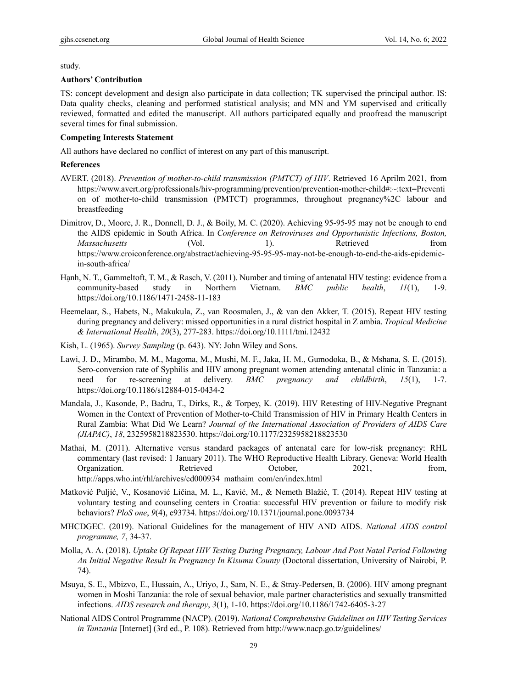study.

#### **Authors' Contribution**

TS: concept development and design also participate in data collection; TK supervised the principal author. IS: Data quality checks, cleaning and performed statistical analysis; and MN and YM supervised and critically reviewed, formatted and edited the manuscript. All authors participated equally and proofread the manuscript several times for final submission.

# **Competing Interests Statement**

All authors have declared no conflict of interest on any part of this manuscript.

#### **References**

- AVERT. (2018). *Prevention of mother-to-child transmission (PMTCT) of HIV*. Retrieved 16 Aprilm 2021, from https://www.avert.org/professionals/hiv-programming/prevention/prevention-mother-child#:~:text=Preventi on of mother-to-child transmission (PMTCT) programmes, throughout pregnancy%2C labour and breastfeeding
- Dimitrov, D., Moore, J. R., Donnell, D. J., & Boily, M. C. (2020). Achieving 95-95-95 may not be enough to end the AIDS epidemic in South Africa. In *Conference on Retroviruses and Opportunistic Infections, Boston, Massachusetts* (Vol. 1). Retrieved from https://www.croiconference.org/abstract/achieving-95-95-95-may-not-be-enough-to-end-the-aids-epidemicin-south-africa/
- Hạnh, N. T., Gammeltoft, T. M., & Rasch, V. (2011). Number and timing of antenatal HIV testing: evidence from a community-based study in Northern Vietnam. *BMC public health*, *11*(1), 1-9. https://doi.org/10.1186/1471-2458-11-183
- Heemelaar, S., Habets, N., Makukula, Z., van Roosmalen, J., & van den Akker, T. (2015). Repeat HIV testing during pregnancy and delivery: missed opportunities in a rural district hospital in Z ambia. *Tropical Medicine & International Health*, *20*(3), 277-283. https://doi.org/10.1111/tmi.12432
- Kish, L. (1965). *Survey Sampling* (p. 643). NY: John Wiley and Sons.
- Lawi, J. D., Mirambo, M. M., Magoma, M., Mushi, M. F., Jaka, H. M., Gumodoka, B., & Mshana, S. E. (2015). Sero-conversion rate of Syphilis and HIV among pregnant women attending antenatal clinic in Tanzania: a need for re-screening at delivery. *BMC pregnancy and childbirth*, *15*(1), 1-7. https://doi.org/10.1186/s12884-015-0434-2
- Mandala, J., Kasonde, P., Badru, T., Dirks, R., & Torpey, K. (2019). HIV Retesting of HIV-Negative Pregnant Women in the Context of Prevention of Mother-to-Child Transmission of HIV in Primary Health Centers in Rural Zambia: What Did We Learn? *Journal of the International Association of Providers of AIDS Care (JIAPAC)*, *18*, 2325958218823530. https://doi.org/10.1177/2325958218823530
- Mathai, M. (2011). Alternative versus standard packages of antenatal care for low-risk pregnancy: RHL commentary (last revised: 1 January 2011). The WHO Reproductive Health Library. Geneva: World Health Organization. Retrieved October, 2021, from, http://apps.who.int/rhl/archives/cd000934\_mathaim\_com/en/index.html
- Matković Puljić, V., Kosanović Ličina, M. L., Kavić, M., & Nemeth Blažić, T. (2014). Repeat HIV testing at voluntary testing and counseling centers in Croatia: successful HIV prevention or failure to modify risk behaviors? *PloS one*, *9*(4), e93734. https://doi.org/10.1371/journal.pone.0093734
- MHCDGEC. (2019). National Guidelines for the management of HIV AND AIDS. *National AIDS control programme, 7*, 34-37.
- Molla, A. A. (2018). *Uptake Of Repeat HIV Testing During Pregnancy, Labour And Post Natal Period Following An Initial Negative Result In Pregnancy In Kisumu County* (Doctoral dissertation, University of Nairobi, P. 74).
- Msuya, S. E., Mbizvo, E., Hussain, A., Uriyo, J., Sam, N. E., & Stray-Pedersen, B. (2006). HIV among pregnant women in Moshi Tanzania: the role of sexual behavior, male partner characteristics and sexually transmitted infections. *AIDS research and therapy*, *3*(1), 1-10. https://doi.org/10.1186/1742-6405-3-27
- National AIDS Control Programme (NACP). (2019). *National Comprehensive Guidelines on HIV Testing Services in Tanzania* [Internet] (3rd ed., P. 108). Retrieved from http://www.nacp.go.tz/guidelines/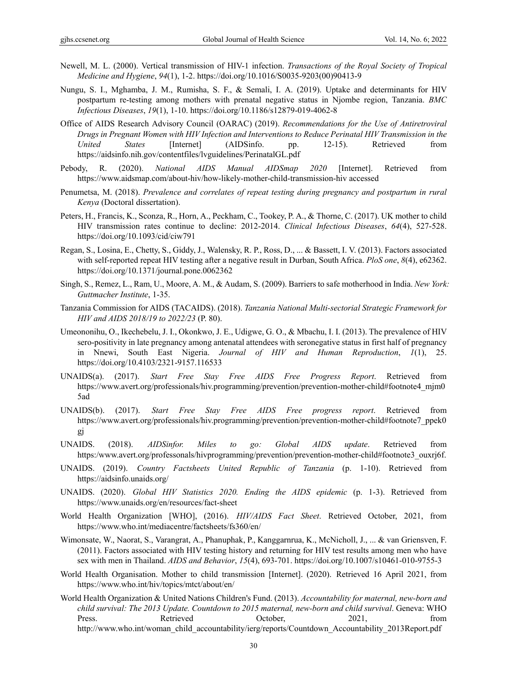- Newell, M. L. (2000). Vertical transmission of HIV-1 infection. *Transactions of the Royal Society of Tropical Medicine and Hygiene*, *94*(1), 1-2. https://doi.org/10.1016/S0035-9203(00)90413-9
- Nungu, S. I., Mghamba, J. M., Rumisha, S. F., & Semali, I. A. (2019). Uptake and determinants for HIV postpartum re-testing among mothers with prenatal negative status in Njombe region, Tanzania. *BMC Infectious Diseases*, *19*(1), 1-10. https://doi.org/10.1186/s12879-019-4062-8
- Office of AIDS Research Advisory Council (OARAC) (2019). *Recommendations for the Use of Antiretroviral Drugs in Pregnant Women with HIV Infection and Interventions to Reduce Perinatal HIV Transmission in the United States* [Internet] (AIDSinfo. pp. 12-15). Retrieved from https://aidsinfo.nih.gov/contentfiles/lvguidelines/PerinatalGL.pdf
- Pebody, R. (2020). *National AIDS Manual AIDSmap 2020* [Internet]. Retrieved from https://www.aidsmap.com/about-hiv/how-likely-mother-child-transmission-hiv accessed
- Penumetsa, M. (2018). *Prevalence and correlates of repeat testing during pregnancy and postpartum in rural Kenya* (Doctoral dissertation).
- Peters, H., Francis, K., Sconza, R., Horn, A., Peckham, C., Tookey, P. A., & Thorne, C. (2017). UK mother to child HIV transmission rates continue to decline: 2012-2014. *Clinical Infectious Diseases*, *64*(4), 527-528. https://doi.org/10.1093/cid/ciw791
- Regan, S., Losina, E., Chetty, S., Giddy, J., Walensky, R. P., Ross, D., ... & Bassett, I. V. (2013). Factors associated with self-reported repeat HIV testing after a negative result in Durban, South Africa. *PloS one*, *8*(4), e62362. https://doi.org/10.1371/journal.pone.0062362
- Singh, S., Remez, L., Ram, U., Moore, A. M., & Audam, S. (2009). Barriers to safe motherhood in India. *New York: Guttmacher Institute*, 1-35.
- Tanzania Commission for AIDS (TACAIDS). (2018). *Tanzania National Multi-sectorial Strategic Framework for HIV and AIDS 2018/19 to 2022/23* (P. 80).
- Umeononihu, O., Ikechebelu, J. I., Okonkwo, J. E., Udigwe, G. O., & Mbachu, I. I. (2013). The prevalence of HIV sero-positivity in late pregnancy among antenatal attendees with seronegative status in first half of pregnancy in Nnewi, South East Nigeria. *Journal of HIV and Human Reproduction*, *1*(1), 25. https://doi.org/10.4103/2321-9157.116533
- UNAIDS(a). (2017). *Start Free Stay Free AIDS Free Progress Report*. Retrieved from https://www.avert.org/professionals/hiv.programming/prevention/prevention-mother-child#footnote4\_mjm0 5ad
- UNAIDS(b). (2017). *Start Free Stay Free AIDS Free progress report*. Retrieved from https://www.avert.org/professionals/hiv.programming/prevention/prevention-mother-child#footnote7\_ppek0 gj
- UNAIDS. (2018). *AIDSinfor. Miles to go: Global AIDS update*. Retrieved from https:/www.avert.org/professonals/hivprogramming/prevention/prevention-mother-child#footnote3\_ouxrj6f.
- UNAIDS. (2019). *Country Factsheets United Republic of Tanzania* (p. 1-10). Retrieved from https://aidsinfo.unaids.org/
- UNAIDS. (2020). *Global HIV Statistics 2020. Ending the AIDS epidemic* (p. 1-3). Retrieved from https://www.unaids.org/en/resources/fact-sheet
- World Health Organization [WHO], (2016). *HIV/AIDS Fact Sheet*. Retrieved October, 2021, from https://www.who.int/mediacentre/factsheets/fs360/en/
- Wimonsate, W., Naorat, S., Varangrat, A., Phanuphak, P., Kanggarnrua, K., McNicholl, J., ... & van Griensven, F. (2011). Factors associated with HIV testing history and returning for HIV test results among men who have sex with men in Thailand. *AIDS and Behavior*, *15*(4), 693-701. https://doi.org/10.1007/s10461-010-9755-3
- World Health Organisation. Mother to child transmission [Internet]. (2020). Retrieved 16 April 2021, from https://www.who.int/hiv/topics/mtct/about/en/
- World Health Organization & United Nations Children's Fund. (2013). *Accountability for maternal, new-born and child survival: The 2013 Update. Countdown to 2015 maternal, new-born and child survival*. Geneva: WHO Press. Retrieved October, 2021, from http://www.who.int/woman\_child\_accountability/ierg/reports/Countdown\_Accountability\_2013Report.pdf